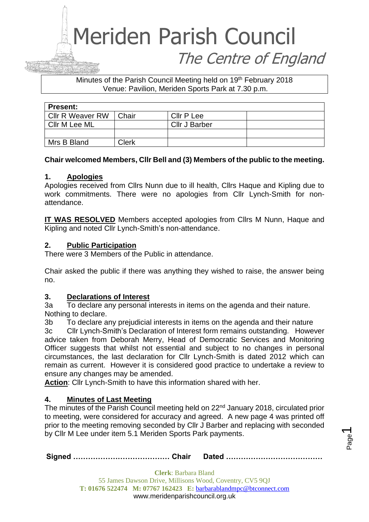#### Minutes of the Parish Council Meeting held on 19th February 2018 Venue: Pavilion, Meriden Sports Park at 7.30 p.m.

| <b>Present:</b>         |       |                      |  |
|-------------------------|-------|----------------------|--|
| <b>Cllr R Weaver RW</b> | Chair | Cllr P Lee           |  |
| Cllr M Lee ML           |       | <b>Cllr J Barber</b> |  |
|                         |       |                      |  |
| Mrs B Bland             | Clerk |                      |  |

#### **Chair welcomed Members, Cllr Bell and (3) Members of the public to the meeting.**

#### **1. Apologies**

Apologies received from Cllrs Nunn due to ill health, Cllrs Haque and Kipling due to work commitments. There were no apologies from Cllr Lynch-Smith for nonattendance.

**IT WAS RESOLVED** Members accepted apologies from Cllrs M Nunn, Haque and Kipling and noted Cllr Lynch-Smith's non-attendance.

#### **2. Public Participation**

There were 3 Members of the Public in attendance.

Chair asked the public if there was anything they wished to raise, the answer being no.

#### **3. Declarations of Interest**

3a To declare any personal interests in items on the agenda and their nature. Nothing to declare.

3b To declare any prejudicial interests in items on the agenda and their nature

3c Cllr Lynch-Smith's Declaration of Interest form remains outstanding. However advice taken from Deborah Merry, Head of Democratic Services and Monitoring Officer suggests that whilst not essential and subject to no changes in personal circumstances, the last declaration for Cllr Lynch-Smith is dated 2012 which can remain as current. However it is considered good practice to undertake a review to ensure any changes may be amended.

**Action**: Cllr Lynch-Smith to have this information shared with her.

#### **4. Minutes of Last Meeting**

The minutes of the Parish Council meeting held on 22<sup>nd</sup> January 2018, circulated prior to meeting, were considered for accuracy and agreed. A new page 4 was printed off prior to the meeting removing seconded by Cllr J Barber and replacing with seconded by Cllr M Lee under item 5.1 Meriden Sports Park payments.

**Signed ………………………………… Chair Dated …………………………………**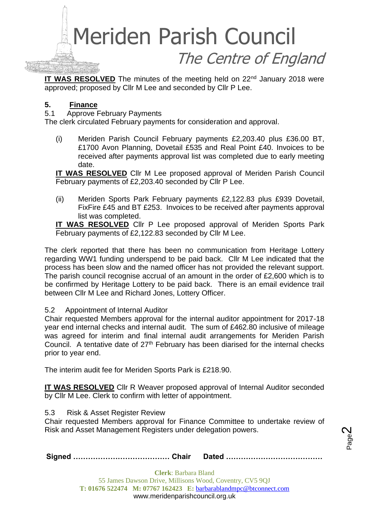**IT WAS RESOLVED** The minutes of the meeting held on 22<sup>nd</sup> January 2018 were approved; proposed by Cllr M Lee and seconded by Cllr P Lee.

#### **5. Finance**

5.1 Approve February Payments

The clerk circulated February payments for consideration and approval.

(i) Meriden Parish Council February payments £2,203.40 plus £36.00 BT, £1700 Avon Planning, Dovetail £535 and Real Point £40. Invoices to be received after payments approval list was completed due to early meeting date.

**IT WAS RESOLVED** Cllr M Lee proposed approval of Meriden Parish Council February payments of £2,203.40 seconded by Cllr P Lee.

(ii) Meriden Sports Park February payments £2,122.83 plus £939 Dovetail, FixFire £45 and BT £253. Invoices to be received after payments approval list was completed.

**IT WAS RESOLVED** Cllr P Lee proposed approval of Meriden Sports Park February payments of £2,122.83 seconded by Cllr M Lee.

The clerk reported that there has been no communication from Heritage Lottery regarding WW1 funding underspend to be paid back. Cllr M Lee indicated that the process has been slow and the named officer has not provided the relevant support. The parish council recognise accrual of an amount in the order of £2,600 which is to be confirmed by Heritage Lottery to be paid back. There is an email evidence trail between Cllr M Lee and Richard Jones, Lottery Officer.

#### 5.2 Appointment of Internal Auditor

Chair requested Members approval for the internal auditor appointment for 2017-18 year end internal checks and internal audit. The sum of £462.80 inclusive of mileage was agreed for interim and final internal audit arrangements for Meriden Parish Council. A tentative date of  $27<sup>th</sup>$  February has been diarised for the internal checks prior to year end.

The interim audit fee for Meriden Sports Park is £218.90.

**IT WAS RESOLVED** Cllr R Weaver proposed approval of Internal Auditor seconded by Cllr M Lee. Clerk to confirm with letter of appointment.

5.3 Risk & Asset Register Review

Chair requested Members approval for Finance Committee to undertake review of Risk and Asset Management Registers under delegation powers.

|--|--|--|

Page  $\boldsymbol{\sim}$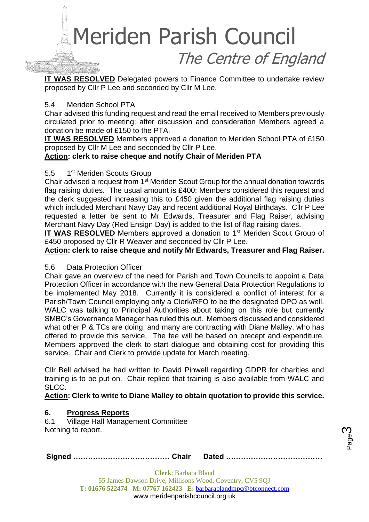**IT WAS RESOLVED** Delegated powers to Finance Committee to undertake review proposed by Cllr P Lee and seconded by Cllr M Lee.

#### 5.4 Meriden School PTA

Chair advised this funding request and read the email received to Members previously circulated prior to meeting; after discussion and consideration Members agreed a donation be made of £150 to the PTA.

**IT WAS RESOLVED** Members approved a donation to Meriden School PTA of £150 proposed by Cllr M Lee and seconded by Cllr P Lee.

#### **Action: clerk to raise cheque and notify Chair of Meriden PTA**

#### 5.5 1<sup>st</sup> Meriden Scouts Group

Chair advised a request from 1<sup>st</sup> Meriden Scout Group for the annual donation towards flag raising duties. The usual amount is £400; Members considered this request and the clerk suggested increasing this to £450 given the additional flag raising duties which included Merchant Navy Day and recent additional Royal Birthdays. Cllr P Lee requested a letter be sent to Mr Edwards, Treasurer and Flag Raiser, advising Merchant Navy Day (Red Ensign Day) is added to the list of flag raising dates.

**IT WAS RESOLVED** Members approved a donation to 1<sup>st</sup> Meriden Scout Group of £450 proposed by Cllr R Weaver and seconded by Cllr P Lee.

**Action: clerk to raise cheque and notify Mr Edwards, Treasurer and Flag Raiser.**

#### 5.6 Data Protection Officer

Chair gave an overview of the need for Parish and Town Councils to appoint a Data Protection Officer in accordance with the new General Data Protection Regulations to be implemented May 2018. Currently it is considered a conflict of interest for a Parish/Town Council employing only a Clerk/RFO to be the designated DPO as well. WALC was talking to Principal Authorities about taking on this role but currently SMBC's Governance Manager has ruled this out. Members discussed and considered what other P & TCs are doing, and many are contracting with Diane Malley, who has offered to provide this service. The fee will be based on precept and expenditure. Members approved the clerk to start dialogue and obtaining cost for providing this service. Chair and Clerk to provide update for March meeting.

Cllr Bell advised he had written to David Pinwell regarding GDPR for charities and training is to be put on. Chair replied that training is also available from WALC and SLCC.

#### **Action: Clerk to write to Diane Malley to obtain quotation to provide this service.**

#### **6. Progress Reports**

6.1 Village Hall Management Committee Nothing to report.

|--|--|--|

Page ო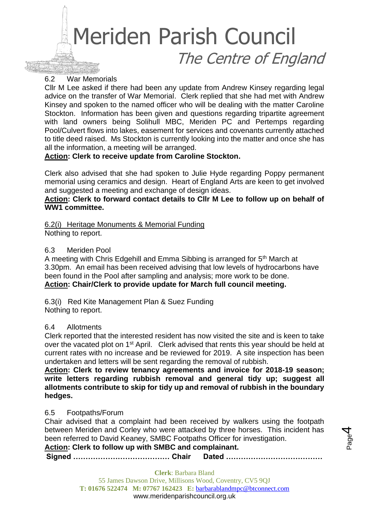#### 6.2 War Memorials

Cllr M Lee asked if there had been any update from Andrew Kinsey regarding legal advice on the transfer of War Memorial. Clerk replied that she had met with Andrew Kinsey and spoken to the named officer who will be dealing with the matter Caroline Stockton. Information has been given and questions regarding tripartite agreement with land owners being Solihull MBC, Meriden PC and Pertemps regarding Pool/Culvert flows into lakes, easement for services and covenants currently attached to title deed raised. Ms Stockton is currently looking into the matter and once she has all the information, a meeting will be arranged.

#### **Action: Clerk to receive update from Caroline Stockton.**

Clerk also advised that she had spoken to Julie Hyde regarding Poppy permanent memorial using ceramics and design. Heart of England Arts are keen to get involved and suggested a meeting and exchange of design ideas.

#### **Action: Clerk to forward contact details to Cllr M Lee to follow up on behalf of WW1 committee.**

#### 6.2(i) Heritage Monuments & Memorial Funding Nothing to report.

#### 6.3 Meriden Pool

A meeting with Chris Edgehill and Emma Sibbing is arranged for 5<sup>th</sup> March at 3.30pm. An email has been received advising that low levels of hydrocarbons have been found in the Pool after sampling and analysis; more work to be done. **Action: Chair/Clerk to provide update for March full council meeting.**

6.3(i) Red Kite Management Plan & Suez Funding Nothing to report.

#### 6.4 Allotments

Clerk reported that the interested resident has now visited the site and is keen to take over the vacated plot on 1<sup>st</sup> April. Clerk advised that rents this year should be held at current rates with no increase and be reviewed for 2019. A site inspection has been undertaken and letters will be sent regarding the removal of rubbish.

**Action: Clerk to review tenancy agreements and invoice for 2018-19 season; write letters regarding rubbish removal and general tidy up; suggest all allotments contribute to skip for tidy up and removal of rubbish in the boundary hedges.**

#### 6.5 Footpaths/Forum

Chair advised that a complaint had been received by walkers using the footpath between Meriden and Corley who were attacked by three horses. This incident has been referred to David Keaney, SMBC Footpaths Officer for investigation.

#### **Action: Clerk to follow up with SMBC and complainant.**

**Signed ………………………………… Chair Dated …………………………………**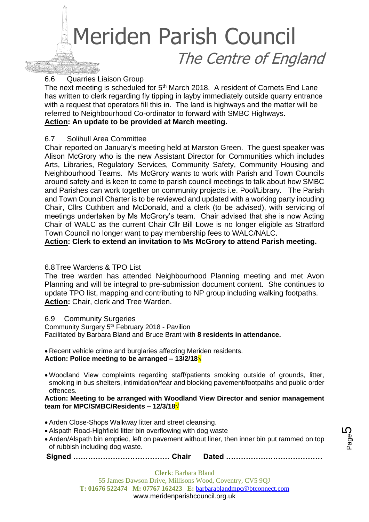#### 6.6 Quarries Liaison Group

The next meeting is scheduled for 5<sup>th</sup> March 2018. A resident of Cornets End Lane has written to clerk regarding fly tipping in layby immediately outside quarry entrance with a request that operators fill this in. The land is highways and the matter will be referred to Neighbourhood Co-ordinator to forward with SMBC Highways. **Action: An update to be provided at March meeting.**

#### 6.7 Solihull Area Committee

Chair reported on January's meeting held at Marston Green. The guest speaker was Alison McGrory who is the new Assistant Director for Communities which includes Arts, Libraries, Regulatory Services, Community Safety, Community Housing and Neighbourhood Teams. Ms McGrory wants to work with Parish and Town Councils around safety and is keen to come to parish council meetings to talk about how SMBC and Parishes can work together on community projects i.e. Pool/Library. The Parish and Town Council Charter is to be reviewed and updated with a working party incuding Chair, Cllrs Cuthbert and McDonald, and a clerk (to be advised), with servicing of meetings undertaken by Ms McGrory's team. Chair advised that she is now Acting Chair of WALC as the current Chair Cllr Bill Lowe is no longer eligible as Stratford Town Council no longer want to pay membership fees to WALC/NALC.

**Action: Clerk to extend an invitation to Ms McGrory to attend Parish meeting.**

#### 6.8Tree Wardens & TPO List

The tree warden has attended Neighbourhood Planning meeting and met Avon Planning and will be integral to pre-submission document content. She continues to update TPO list, mapping and contributing to NP group including walking footpaths. **Action:** Chair, clerk and Tree Warden.

#### 6.9 Community Surgeries

Community Surgery 5th February 2018 - Pavilion Facilitated by Barbara Bland and Bruce Brant with **8 residents in attendance.** 

- Recent vehicle crime and burglaries affecting Meriden residents. **Action: Police meeting to be arranged – 13/2/18√**
- Woodland View complaints regarding staff/patients smoking outside of grounds, litter, smoking in bus shelters, intimidation/fear and blocking pavement/footpaths and public order offences.

**Action: Meeting to be arranged with Woodland View Director and senior management team for MPC/SMBC/Residents – 12/3/18√**

- Arden Close-Shops Walkway litter and street cleansing.
- Alspath Road-Highfield litter bin overflowing with dog waste
- Arden/Alspath bin emptied, left on pavement without liner, then inner bin put rammed on top of rubbish including dog waste.

**Signed ………………………………… Chair Dated …………………………………**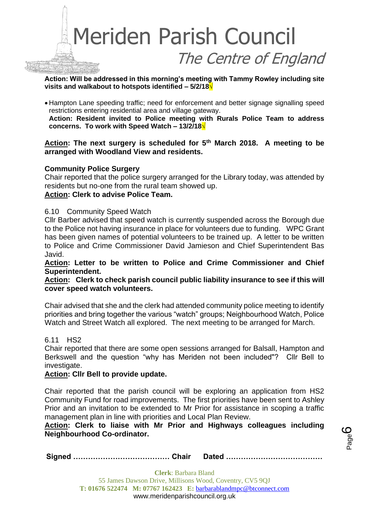

**Action: Will be addressed in this morning's meeting with Tammy Rowley including site visits and walkabout to hotspots identified – 5/2/18√**

• Hampton Lane speeding traffic; need for enforcement and better signage signalling speed restrictions entering residential area and village gateway.

**Action: Resident invited to Police meeting with Rurals Police Team to address concerns. To work with Speed Watch – 13/2/18√**

**Action: The next surgery is scheduled for 5th March 2018. A meeting to be arranged with Woodland View and residents.**

#### **Community Police Surgery**

Chair reported that the police surgery arranged for the Library today, was attended by residents but no-one from the rural team showed up.

#### **Action: Clerk to advise Police Team.**

#### 6.10 Community Speed Watch

Cllr Barber advised that speed watch is currently suspended across the Borough due to the Police not having insurance in place for volunteers due to funding. WPC Grant has been given names of potential volunteers to be trained up. A letter to be written to Police and Crime Commissioner David Jamieson and Chief Superintendent Bas Javid.

**Action: Letter to be written to Police and Crime Commissioner and Chief Superintendent.**

#### **Action: Clerk to check parish council public liability insurance to see if this will cover speed watch volunteers.**

Chair advised that she and the clerk had attended community police meeting to identify priorities and bring together the various "watch" groups; Neighbourhood Watch, Police Watch and Street Watch all explored. The next meeting to be arranged for March.

#### 6.11 HS2

Chair reported that there are some open sessions arranged for Balsall, Hampton and Berkswell and the question "why has Meriden not been included"? Cllr Bell to investigate.

#### **Action: Cllr Bell to provide update.**

Chair reported that the parish council will be exploring an application from HS2 Community Fund for road improvements. The first priorities have been sent to Ashley Prior and an invitation to be extended to Mr Prior for assistance in scoping a traffic management plan in line with priorities and Local Plan Review.

**Action: Clerk to liaise with Mr Prior and Highways colleagues including Neighbourhood Co-ordinator.**

Page ပ

**Signed ………………………………… Chair Dated …………………………………**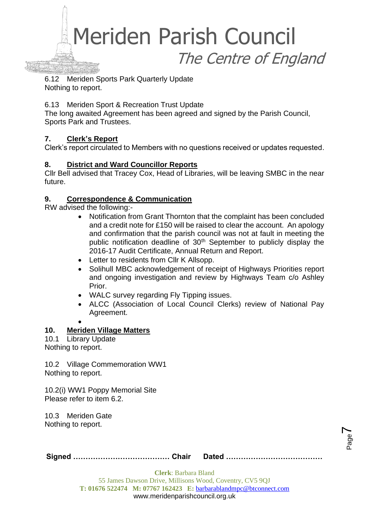

6.12 Meriden Sports Park Quarterly Update Nothing to report.

#### 6.13 Meriden Sport & Recreation Trust Update

The long awaited Agreement has been agreed and signed by the Parish Council, Sports Park and Trustees.

#### **7. Clerk's Report**

Clerk's report circulated to Members with no questions received or updates requested.

#### **8. District and Ward Councillor Reports**

Cllr Bell advised that Tracey Cox, Head of Libraries, will be leaving SMBC in the near future.

#### **9. Correspondence & Communication**

RW advised the following:-

- Notification from Grant Thornton that the complaint has been concluded and a credit note for £150 will be raised to clear the account. An apology and confirmation that the parish council was not at fault in meeting the public notification deadline of 30<sup>th</sup> September to publicly display the 2016-17 Audit Certificate, Annual Return and Report.
- Letter to residents from Cllr K Allsopp.
- Solihull MBC acknowledgement of receipt of Highways Priorities report and ongoing investigation and review by Highways Team c/o Ashley Prior.
- WALC survey regarding Fly Tipping issues.
- ALCC (Association of Local Council Clerks) review of National Pay Agreement.
- •

#### **10. Meriden Village Matters**

10.1 Library Update Nothing to report.

10.2 Village Commemoration WW1 Nothing to report.

10.2(i) WW1 Poppy Memorial Site Please refer to item 6.2.

10.3 Meriden Gate Nothing to report.

**Clerk**: Barbara Bland 55 James Dawson Drive, Millisons Wood, Coventry, CV5 9QJ **T: 01676 522474 M: 07767 162423 E:** [barbarablandmpc@btconnect.com](mailto:barbarablandmpc@btconnect.com) www.meridenparishcouncil.org.uk

Page  $\blacktriangleright$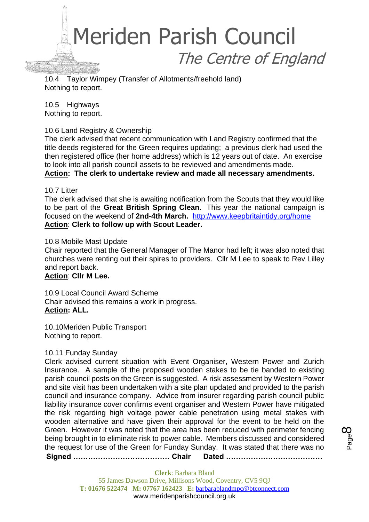

10.4 Taylor Wimpey (Transfer of Allotments/freehold land) Nothing to report.

10.5 Highways Nothing to report.

#### 10.6 Land Registry & Ownership

The clerk advised that recent communication with Land Registry confirmed that the title deeds registered for the Green requires updating; a previous clerk had used the then registered office (her home address) which is 12 years out of date. An exercise to look into all parish council assets to be reviewed and amendments made. **Action: The clerk to undertake review and made all necessary amendments.**

#### 10.7 Litter

The clerk advised that she is awaiting notification from the Scouts that they would like to be part of the **Great British Spring Clean**. This year the national campaign is focused on the weekend of **2nd-4th March.** <http://www.keepbritaintidy.org/home> **Action**: **Clerk to follow up with Scout Leader.**

#### 10.8 Mobile Mast Update

Chair reported that the General Manager of The Manor had left; it was also noted that churches were renting out their spires to providers. Cllr M Lee to speak to Rev Lilley and report back.

#### **Action**: **Cllr M Lee.**

10.9 Local Council Award Scheme Chair advised this remains a work in progress. **Action: ALL.**

10.10Meriden Public Transport Nothing to report.

#### 10.11 Funday Sunday

Clerk advised current situation with Event Organiser, Western Power and Zurich Insurance. A sample of the proposed wooden stakes to be tie banded to existing parish council posts on the Green is suggested. A risk assessment by Western Power and site visit has been undertaken with a site plan updated and provided to the parish council and insurance company. Advice from insurer regarding parish council public liability insurance cover confirms event organiser and Western Power have mitigated the risk regarding high voltage power cable penetration using metal stakes with wooden alternative and have given their approval for the event to be held on the Green. However it was noted that the area has been reduced with perimeter fencing being brought in to eliminate risk to power cable. Members discussed and considered the request for use of the Green for Funday Sunday. It was stated that there was no

**Signed ………………………………… Chair Dated …………………………………**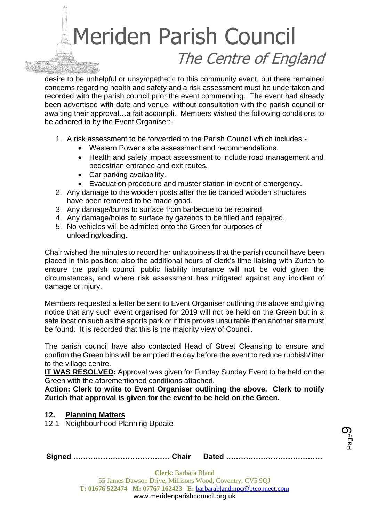desire to be unhelpful or unsympathetic to this community event, but there remained concerns regarding health and safety and a risk assessment must be undertaken and recorded with the parish council prior the event commencing. The event had already been advertised with date and venue, without consultation with the parish council or awaiting their approval…a fait accompli. Members wished the following conditions to be adhered to by the Event Organiser:-

- 1. A risk assessment to be forwarded to the Parish Council which includes:-
	- Western Power's site assessment and recommendations.
	- Health and safety impact assessment to include road management and pedestrian entrance and exit routes.
	- Car parking availability.
	- Evacuation procedure and muster station in event of emergency.
- 2. Any damage to the wooden posts after the tie banded wooden structures have been removed to be made good.
- 3. Any damage/burns to surface from barbecue to be repaired.
- 4. Any damage/holes to surface by gazebos to be filled and repaired.
- 5. No vehicles will be admitted onto the Green for purposes of unloading/loading.

Chair wished the minutes to record her unhappiness that the parish council have been placed in this position; also the additional hours of clerk's time liaising with Zurich to ensure the parish council public liability insurance will not be void given the circumstances, and where risk assessment has mitigated against any incident of damage or injury.

Members requested a letter be sent to Event Organiser outlining the above and giving notice that any such event organised for 2019 will not be held on the Green but in a safe location such as the sports park or if this proves unsuitable then another site must be found. It is recorded that this is the majority view of Council.

The parish council have also contacted Head of Street Cleansing to ensure and confirm the Green bins will be emptied the day before the event to reduce rubbish/litter to the village centre.

**IT WAS RESOLVED:** Approval was given for Funday Sunday Event to be held on the Green with the aforementioned conditions attached.

**Action: Clerk to write to Event Organiser outlining the above. Clerk to notify Zurich that approval is given for the event to be held on the Green.**

#### **12. Planning Matters**

12.1 Neighbourhood Planning Update

|--|--|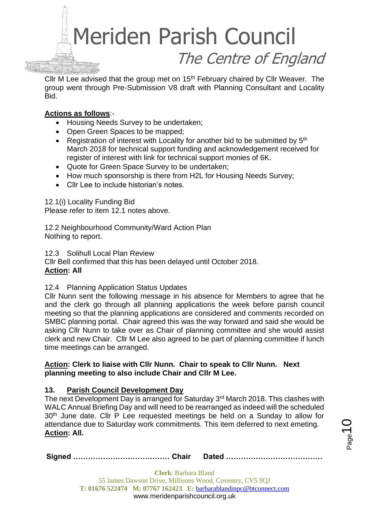

Cllr M Lee advised that the group met on 15<sup>th</sup> February chaired by Cllr Weaver. The group went through Pre-Submission V8 draft with Planning Consultant and Locality Bid.

#### **Actions as follows**:-

- Housing Needs Survey to be undertaken;
- Open Green Spaces to be mapped;
- Registration of interest with Locality for another bid to be submitted by  $5<sup>th</sup>$ March 2018 for technical support funding and acknowledgement received for register of interest with link for technical support monies of 6K.
- Quote for Green Space Survey to be undertaken;
- How much sponsorship is there from H2L for Housing Needs Survey;
- Cllr Lee to include historian's notes.

12.1(i) Locality Funding Bid

Please refer to item 12.1 notes above.

12.2 Neighbourhood Community/Ward Action Plan Nothing to report.

12.3 Solihull Local Plan Review Cllr Bell confirmed that this has been delayed until October 2018. **Action: All**

#### 12.4 Planning Application Status Updates

Cllr Nunn sent the following message in his absence for Members to agree that he and the clerk go through all planning applications the week before parish council meeting so that the planning applications are considered and comments recorded on SMBC planning portal. Chair agreed this was the way forward and said she would be asking Cllr Nunn to take over as Chair of planning committee and she would assist clerk and new Chair. Cllr M Lee also agreed to be part of planning committee if lunch time meetings can be arranged.

#### **Action: Clerk to liaise with Cllr Nunn. Chair to speak to Cllr Nunn. Next planning meeting to also include Chair and Cllr M Lee.**

#### **13. Parish Council Development Day**

The next Development Day is arranged for Saturday 3<sup>rd</sup> March 2018. This clashes with WALC Annual Briefing Day and will need to be rearranged as indeed will the scheduled 30<sup>th</sup> June date. Cllr P Lee requested meetings be held on a Sunday to allow for attendance due to Saturday work commitments. This item deferred to next emeting. **Action: All.**

l<br>age

|--|--|